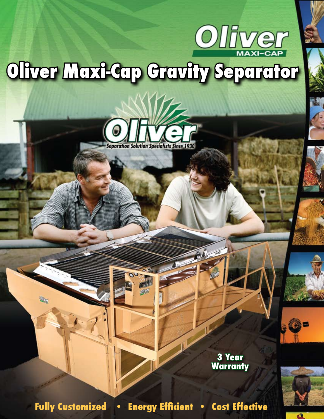

## Oliver Mexicap Cravity Separator



**3 Year Warranty**

Q

**Fully Customized • Energy Efficient • Cost Effective**

 $\mathfrak{A}_{\mathbb{Q}}$